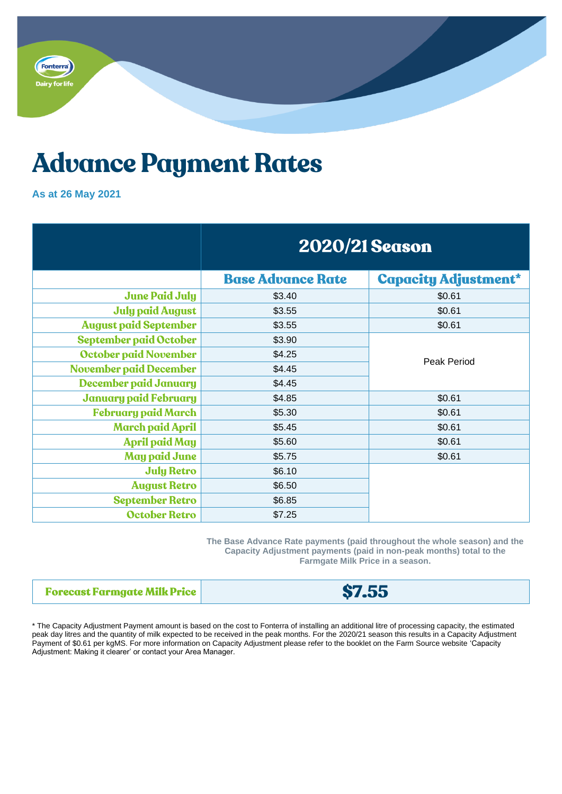

## **Advance Payment Rates**

## **As at 26 May 2021**

|                               | <b>2020/21 Season</b>    |                             |
|-------------------------------|--------------------------|-----------------------------|
|                               | <b>Base Advance Rate</b> | <b>Capacity Adjustment*</b> |
| <b>June Paid July</b>         | \$3.40                   | \$0.61                      |
| <b>July paid August</b>       | \$3.55                   | \$0.61                      |
| <b>August paid September</b>  | \$3.55                   | \$0.61                      |
| <b>September paid October</b> | \$3.90                   | Peak Period                 |
| October paid November         | \$4.25                   |                             |
| <b>November paid December</b> | \$4.45                   |                             |
| <b>December paid January</b>  | \$4.45                   |                             |
| <b>January paid February</b>  | \$4.85                   | \$0.61                      |
| <b>February paid March</b>    | \$5.30                   | \$0.61                      |
| <b>March paid April</b>       | \$5.45                   | \$0.61                      |
| <b>April paid May</b>         | \$5.60                   | \$0.61                      |
| <b>May paid June</b>          | \$5.75                   | \$0.61                      |
| <b>July Retro</b>             | \$6.10                   |                             |
| <b>August Retro</b>           | \$6.50                   |                             |
| <b>September Retro</b>        | \$6.85                   |                             |
| <b>October Retro</b>          | \$7.25                   |                             |

**The Base Advance Rate payments (paid throughout the whole season) and the Capacity Adjustment payments (paid in non-peak months) total to the Farmgate Milk Price in a season.**

| <b>Forecast Farmgate Milk Price</b> | <b>\$7.55</b> |
|-------------------------------------|---------------|
|-------------------------------------|---------------|

\* The Capacity Adjustment Payment amount is based on the cost to Fonterra of installing an additional litre of processing capacity, the estimated peak day litres and the quantity of milk expected to be received in the peak months. For the 2020/21 season this results in a Capacity Adjustment Payment of \$0.61 per kgMS. For more information on Capacity Adjustment please refer to the booklet on the Farm Source website 'Capacity Adjustment: Making it clearer' or contact your Area Manager.